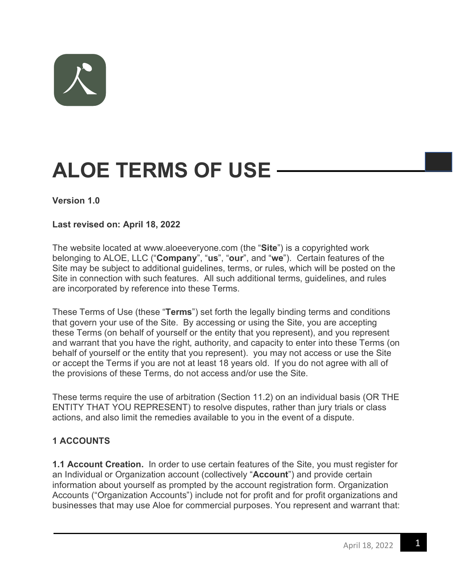

# **ALOE TERMS OF USE**

#### **Version 1.0**

#### **Last revised on: April 18, 2022**

The website located at www.aloeeveryone.com (the "**Site**") is a copyrighted work belonging to ALOE, LLC ("**Company**", "**us**", "**our**", and "**we**"). Certain features of the Site may be subject to additional guidelines, terms, or rules, which will be posted on the Site in connection with such features. All such additional terms, guidelines, and rules are incorporated by reference into these Terms.

These Terms of Use (these "**Terms**") set forth the legally binding terms and conditions that govern your use of the Site. By accessing or using the Site, you are accepting these Terms (on behalf of yourself or the entity that you represent), and you represent and warrant that you have the right, authority, and capacity to enter into these Terms (on behalf of yourself or the entity that you represent). you may not access or use the Site or accept the Terms if you are not at least 18 years old. If you do not agree with all of the provisions of these Terms, do not access and/or use the Site.

These terms require the use of arbitration (Section 11.2) on an individual basis (OR THE ENTITY THAT YOU REPRESENT) to resolve disputes, rather than jury trials or class actions, and also limit the remedies available to you in the event of a dispute.

#### **1 ACCOUNTS**

**1.1 Account Creation.** In order to use certain features of the Site, you must register for an Individual or Organization account (collectively "**Account**") and provide certain information about yourself as prompted by the account registration form. Organization Accounts ("Organization Accounts") include not for profit and for profit organizations and businesses that may use Aloe for commercial purposes. You represent and warrant that: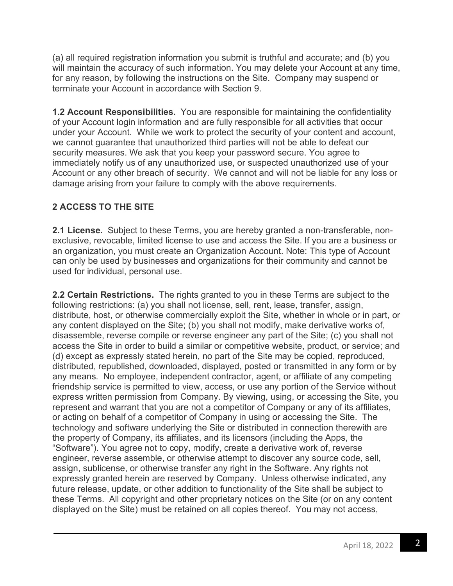(a) all required registration information you submit is truthful and accurate; and (b) you will maintain the accuracy of such information. You may delete your Account at any time, for any reason, by following the instructions on the Site. Company may suspend or terminate your Account in accordance with Section 9.

**1.2 Account Responsibilities.** You are responsible for maintaining the confidentiality of your Account login information and are fully responsible for all activities that occur under your Account. While we work to protect the security of your content and account, we cannot guarantee that unauthorized third parties will not be able to defeat our security measures. We ask that you keep your password secure. You agree to immediately notify us of any unauthorized use, or suspected unauthorized use of your Account or any other breach of security. We cannot and will not be liable for any loss or damage arising from your failure to comply with the above requirements.

# **2 ACCESS TO THE SITE**

**2.1 License.** Subject to these Terms, you are hereby granted a non-transferable, nonexclusive, revocable, limited license to use and access the Site. If you are a business or an organization, you must create an Organization Account. Note: This type of Account can only be used by businesses and organizations for their community and cannot be used for individual, personal use.

**2.2 Certain Restrictions.** The rights granted to you in these Terms are subject to the following restrictions: (a) you shall not license, sell, rent, lease, transfer, assign, distribute, host, or otherwise commercially exploit the Site, whether in whole or in part, or any content displayed on the Site; (b) you shall not modify, make derivative works of, disassemble, reverse compile or reverse engineer any part of the Site; (c) you shall not access the Site in order to build a similar or competitive website, product, or service; and (d) except as expressly stated herein, no part of the Site may be copied, reproduced, distributed, republished, downloaded, displayed, posted or transmitted in any form or by any means. No employee, independent contractor, agent, or affiliate of any competing friendship service is permitted to view, access, or use any portion of the Service without express written permission from Company. By viewing, using, or accessing the Site, you represent and warrant that you are not a competitor of Company or any of its affiliates, or acting on behalf of a competitor of Company in using or accessing the Site. The technology and software underlying the Site or distributed in connection therewith are the property of Company, its affiliates, and its licensors (including the Apps, the "Software"). You agree not to copy, modify, create a derivative work of, reverse engineer, reverse assemble, or otherwise attempt to discover any source code, sell, assign, sublicense, or otherwise transfer any right in the Software. Any rights not expressly granted herein are reserved by Company. Unless otherwise indicated, any future release, update, or other addition to functionality of the Site shall be subject to these Terms. All copyright and other proprietary notices on the Site (or on any content displayed on the Site) must be retained on all copies thereof. You may not access,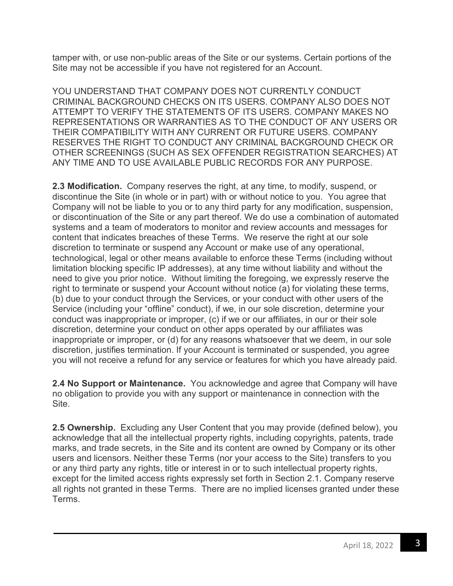tamper with, or use non-public areas of the Site or our systems. Certain portions of the Site may not be accessible if you have not registered for an Account.

YOU UNDERSTAND THAT COMPANY DOES NOT CURRENTLY CONDUCT CRIMINAL BACKGROUND CHECKS ON ITS USERS. COMPANY ALSO DOES NOT ATTEMPT TO VERIFY THE STATEMENTS OF ITS USERS. COMPANY MAKES NO REPRESENTATIONS OR WARRANTIES AS TO THE CONDUCT OF ANY USERS OR THEIR COMPATIBILITY WITH ANY CURRENT OR FUTURE USERS. COMPANY RESERVES THE RIGHT TO CONDUCT ANY CRIMINAL BACKGROUND CHECK OR OTHER SCREENINGS (SUCH AS SEX OFFENDER REGISTRATION SEARCHES) AT ANY TIME AND TO USE AVAILABLE PUBLIC RECORDS FOR ANY PURPOSE.

**2.3 Modification.** Company reserves the right, at any time, to modify, suspend, or discontinue the Site (in whole or in part) with or without notice to you. You agree that Company will not be liable to you or to any third party for any modification, suspension, or discontinuation of the Site or any part thereof. We do use a combination of automated systems and a team of moderators to monitor and review accounts and messages for content that indicates breaches of these Terms. We reserve the right at our sole discretion to terminate or suspend any Account or make use of any operational, technological, legal or other means available to enforce these Terms (including without limitation blocking specific IP addresses), at any time without liability and without the need to give you prior notice. Without limiting the foregoing, we expressly reserve the right to terminate or suspend your Account without notice (a) for violating these terms, (b) due to your conduct through the Services, or your conduct with other users of the Service (including your "offline" conduct), if we, in our sole discretion, determine your conduct was inappropriate or improper, (c) if we or our affiliates, in our or their sole discretion, determine your conduct on other apps operated by our affiliates was inappropriate or improper, or (d) for any reasons whatsoever that we deem, in our sole discretion, justifies termination. If your Account is terminated or suspended, you agree you will not receive a refund for any service or features for which you have already paid.

**2.4 No Support or Maintenance.** You acknowledge and agree that Company will have no obligation to provide you with any support or maintenance in connection with the Site.

**2.5 Ownership.** Excluding any User Content that you may provide (defined below), you acknowledge that all the intellectual property rights, including copyrights, patents, trade marks, and trade secrets, in the Site and its content are owned by Company or its other users and licensors. Neither these Terms (nor your access to the Site) transfers to you or any third party any rights, title or interest in or to such intellectual property rights, except for the limited access rights expressly set forth in Section 2.1. Company reserve all rights not granted in these Terms. There are no implied licenses granted under these Terms.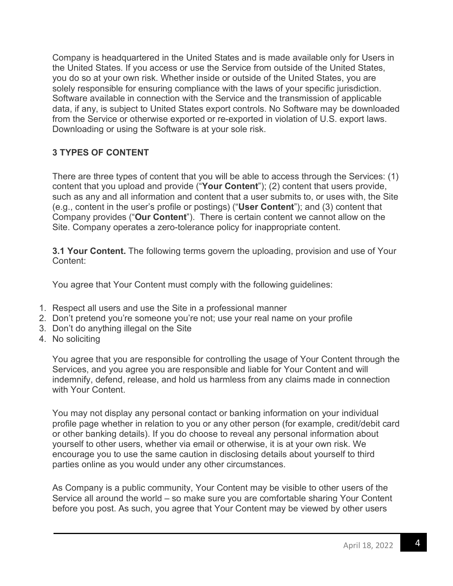Company is headquartered in the United States and is made available only for Users in the United States. If you access or use the Service from outside of the United States, you do so at your own risk. Whether inside or outside of the United States, you are solely responsible for ensuring compliance with the laws of your specific jurisdiction. Software available in connection with the Service and the transmission of applicable data, if any, is subject to United States export controls. No Software may be downloaded from the Service or otherwise exported or re-exported in violation of U.S. export laws. Downloading or using the Software is at your sole risk.

# **3 TYPES OF CONTENT**

There are three types of content that you will be able to access through the Services: (1) content that you upload and provide ("**Your Content**"); (2) content that users provide, such as any and all information and content that a user submits to, or uses with, the Site (e.g., content in the user's profile or postings) ("**User Content**"); and (3) content that Company provides ("**Our Content**"). There is certain content we cannot allow on the Site. Company operates a zero-tolerance policy for inappropriate content.

**3.1 Your Content.** The following terms govern the uploading, provision and use of Your Content:

You agree that Your Content must comply with the following guidelines:

- 1. Respect all users and use the Site in a professional manner
- 2. Don't pretend you're someone you're not; use your real name on your profile
- 3. Don't do anything illegal on the Site
- 4. No soliciting

You agree that you are responsible for controlling the usage of Your Content through the Services, and you agree you are responsible and liable for Your Content and will indemnify, defend, release, and hold us harmless from any claims made in connection with Your Content.

You may not display any personal contact or banking information on your individual profile page whether in relation to you or any other person (for example, credit/debit card or other banking details). If you do choose to reveal any personal information about yourself to other users, whether via email or otherwise, it is at your own risk. We encourage you to use the same caution in disclosing details about yourself to third parties online as you would under any other circumstances.

As Company is a public community, Your Content may be visible to other users of the Service all around the world – so make sure you are comfortable sharing Your Content before you post. As such, you agree that Your Content may be viewed by other users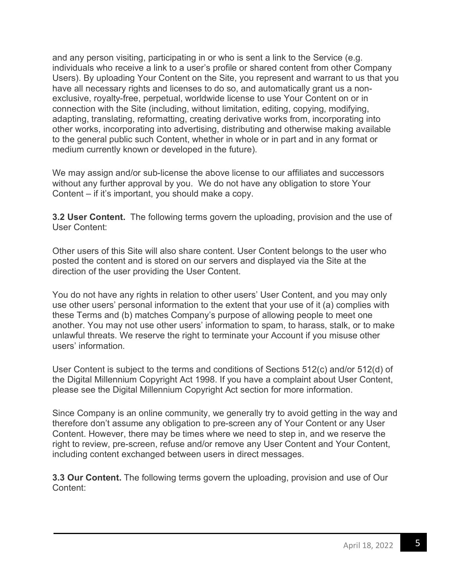and any person visiting, participating in or who is sent a link to the Service (e.g. individuals who receive a link to a user's profile or shared content from other Company Users). By uploading Your Content on the Site, you represent and warrant to us that you have all necessary rights and licenses to do so, and automatically grant us a nonexclusive, royalty-free, perpetual, worldwide license to use Your Content on or in connection with the Site (including, without limitation, editing, copying, modifying, adapting, translating, reformatting, creating derivative works from, incorporating into other works, incorporating into advertising, distributing and otherwise making available to the general public such Content, whether in whole or in part and in any format or medium currently known or developed in the future).

We may assign and/or sub-license the above license to our affiliates and successors without any further approval by you. We do not have any obligation to store Your Content – if it's important, you should make a copy.

**3.2 User Content.** The following terms govern the uploading, provision and the use of User Content:

Other users of this Site will also share content. User Content belongs to the user who posted the content and is stored on our servers and displayed via the Site at the direction of the user providing the User Content.

You do not have any rights in relation to other users' User Content, and you may only use other users' personal information to the extent that your use of it (a) complies with these Terms and (b) matches Company's purpose of allowing people to meet one another. You may not use other users' information to spam, to harass, stalk, or to make unlawful threats. We reserve the right to terminate your Account if you misuse other users' information.

User Content is subject to the terms and conditions of Sections 512(c) and/or 512(d) of the Digital Millennium Copyright Act 1998. If you have a complaint about User Content, please see the Digital Millennium Copyright Act section for more information.

Since Company is an online community, we generally try to avoid getting in the way and therefore don't assume any obligation to pre-screen any of Your Content or any User Content. However, there may be times where we need to step in, and we reserve the right to review, pre-screen, refuse and/or remove any User Content and Your Content, including content exchanged between users in direct messages.

**3.3 Our Content.** The following terms govern the uploading, provision and use of Our Content: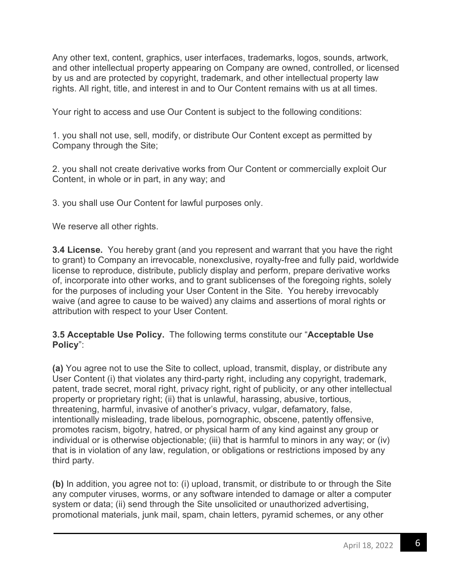Any other text, content, graphics, user interfaces, trademarks, logos, sounds, artwork, and other intellectual property appearing on Company are owned, controlled, or licensed by us and are protected by copyright, trademark, and other intellectual property law rights. All right, title, and interest in and to Our Content remains with us at all times.

Your right to access and use Our Content is subject to the following conditions:

1. you shall not use, sell, modify, or distribute Our Content except as permitted by Company through the Site;

2. you shall not create derivative works from Our Content or commercially exploit Our Content, in whole or in part, in any way; and

3. you shall use Our Content for lawful purposes only.

We reserve all other rights.

**3.4 License.** You hereby grant (and you represent and warrant that you have the right to grant) to Company an irrevocable, nonexclusive, royalty-free and fully paid, worldwide license to reproduce, distribute, publicly display and perform, prepare derivative works of, incorporate into other works, and to grant sublicenses of the foregoing rights, solely for the purposes of including your User Content in the Site. You hereby irrevocably waive (and agree to cause to be waived) any claims and assertions of moral rights or attribution with respect to your User Content.

#### **3.5 Acceptable Use Policy.** The following terms constitute our "**Acceptable Use Policy**":

**(a)** You agree not to use the Site to collect, upload, transmit, display, or distribute any User Content (i) that violates any third-party right, including any copyright, trademark, patent, trade secret, moral right, privacy right, right of publicity, or any other intellectual property or proprietary right; (ii) that is unlawful, harassing, abusive, tortious, threatening, harmful, invasive of another's privacy, vulgar, defamatory, false, intentionally misleading, trade libelous, pornographic, obscene, patently offensive, promotes racism, bigotry, hatred, or physical harm of any kind against any group or individual or is otherwise objectionable; (iii) that is harmful to minors in any way; or (iv) that is in violation of any law, regulation, or obligations or restrictions imposed by any third party.

**(b)** In addition, you agree not to: (i) upload, transmit, or distribute to or through the Site any computer viruses, worms, or any software intended to damage or alter a computer system or data; (ii) send through the Site unsolicited or unauthorized advertising, promotional materials, junk mail, spam, chain letters, pyramid schemes, or any other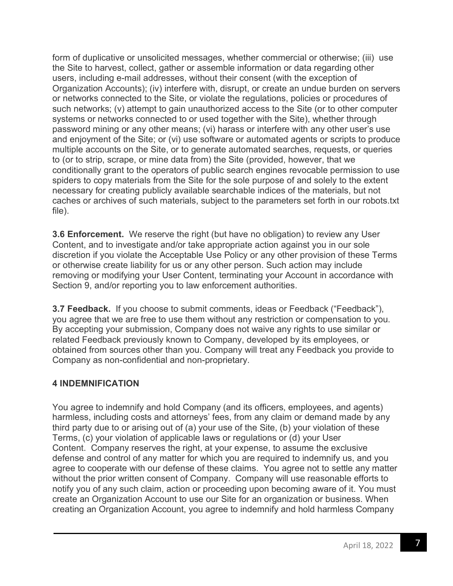form of duplicative or unsolicited messages, whether commercial or otherwise; (iii) use the Site to harvest, collect, gather or assemble information or data regarding other users, including e-mail addresses, without their consent (with the exception of Organization Accounts); (iv) interfere with, disrupt, or create an undue burden on servers or networks connected to the Site, or violate the regulations, policies or procedures of such networks; (v) attempt to gain unauthorized access to the Site (or to other computer systems or networks connected to or used together with the Site), whether through password mining or any other means; (vi) harass or interfere with any other user's use and enjoyment of the Site; or (vi) use software or automated agents or scripts to produce multiple accounts on the Site, or to generate automated searches, requests, or queries to (or to strip, scrape, or mine data from) the Site (provided, however, that we conditionally grant to the operators of public search engines revocable permission to use spiders to copy materials from the Site for the sole purpose of and solely to the extent necessary for creating publicly available searchable indices of the materials, but not caches or archives of such materials, subject to the parameters set forth in our robots.txt file).

**3.6 Enforcement.** We reserve the right (but have no obligation) to review any User Content, and to investigate and/or take appropriate action against you in our sole discretion if you violate the Acceptable Use Policy or any other provision of these Terms or otherwise create liability for us or any other person. Such action may include removing or modifying your User Content, terminating your Account in accordance with Section 9, and/or reporting you to law enforcement authorities.

**3.7 Feedback.** If you choose to submit comments, ideas or Feedback ("Feedback"), you agree that we are free to use them without any restriction or compensation to you. By accepting your submission, Company does not waive any rights to use similar or related Feedback previously known to Company, developed by its employees, or obtained from sources other than you. Company will treat any Feedback you provide to Company as non-confidential and non-proprietary.

# **4 INDEMNIFICATION**

You agree to indemnify and hold Company (and its officers, employees, and agents) harmless, including costs and attorneys' fees, from any claim or demand made by any third party due to or arising out of (a) your use of the Site, (b) your violation of these Terms, (c) your violation of applicable laws or regulations or (d) your User Content. Company reserves the right, at your expense, to assume the exclusive defense and control of any matter for which you are required to indemnify us, and you agree to cooperate with our defense of these claims. You agree not to settle any matter without the prior written consent of Company. Company will use reasonable efforts to notify you of any such claim, action or proceeding upon becoming aware of it. You must create an Organization Account to use our Site for an organization or business. When creating an Organization Account, you agree to indemnify and hold harmless Company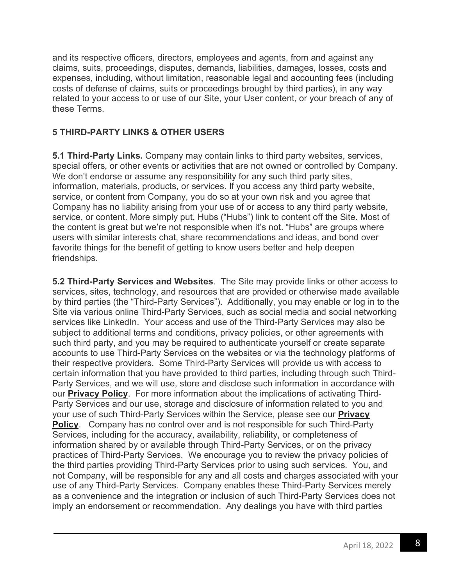and its respective officers, directors, employees and agents, from and against any claims, suits, proceedings, disputes, demands, liabilities, damages, losses, costs and expenses, including, without limitation, reasonable legal and accounting fees (including costs of defense of claims, suits or proceedings brought by third parties), in any way related to your access to or use of our Site, your User content, or your breach of any of these Terms.

# **5 THIRD-PARTY LINKS & OTHER USERS**

**5.1 Third-Party Links.** Company may contain links to third party websites, services, special offers, or other events or activities that are not owned or controlled by Company. We don't endorse or assume any responsibility for any such third party sites, information, materials, products, or services. If you access any third party website, service, or content from Company, you do so at your own risk and you agree that Company has no liability arising from your use of or access to any third party website, service, or content. More simply put, Hubs ("Hubs") link to content off the Site. Most of the content is great but we're not responsible when it's not. "Hubs" are groups where users with similar interests chat, share recommendations and ideas, and bond over favorite things for the benefit of getting to know users better and help deepen friendships.

**5.2 Third-Party Services and Websites**. The Site may provide links or other access to services, sites, technology, and resources that are provided or otherwise made available by third parties (the "Third-Party Services"). Additionally, you may enable or log in to the Site via various online Third-Party Services, such as social media and social networking services like LinkedIn. Your access and use of the Third-Party Services may also be subject to additional terms and conditions, privacy policies, or other agreements with such third party, and you may be required to authenticate yourself or create separate accounts to use Third-Party Services on the websites or via the technology platforms of their respective providers. Some Third-Party Services will provide us with access to certain information that you have provided to third parties, including through such Third-Party Services, and we will use, store and disclose such information in accordance with our **Privacy Policy**. For more information about the implications of activating Third-Party Services and our use, storage and disclosure of information related to you and your use of such Third-Party Services within the Service, please see our **Privacy Policy**. Company has no control over and is not responsible for such Third-Party Services, including for the accuracy, availability, reliability, or completeness of information shared by or available through Third-Party Services, or on the privacy practices of Third-Party Services. We encourage you to review the privacy policies of the third parties providing Third-Party Services prior to using such services. You, and not Company, will be responsible for any and all costs and charges associated with your use of any Third-Party Services. Company enables these Third-Party Services merely as a convenience and the integration or inclusion of such Third-Party Services does not imply an endorsement or recommendation. Any dealings you have with third parties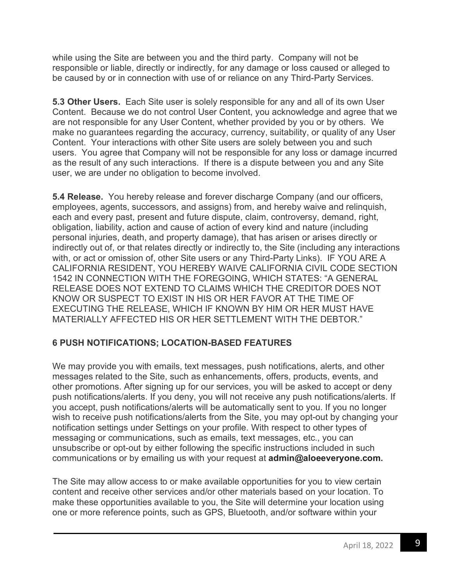while using the Site are between you and the third party. Company will not be responsible or liable, directly or indirectly, for any damage or loss caused or alleged to be caused by or in connection with use of or reliance on any Third-Party Services.

**5.3 Other Users.** Each Site user is solely responsible for any and all of its own User Content. Because we do not control User Content, you acknowledge and agree that we are not responsible for any User Content, whether provided by you or by others. We make no guarantees regarding the accuracy, currency, suitability, or quality of any User Content. Your interactions with other Site users are solely between you and such users. You agree that Company will not be responsible for any loss or damage incurred as the result of any such interactions. If there is a dispute between you and any Site user, we are under no obligation to become involved.

**5.4 Release.** You hereby release and forever discharge Company (and our officers, employees, agents, successors, and assigns) from, and hereby waive and relinquish, each and every past, present and future dispute, claim, controversy, demand, right, obligation, liability, action and cause of action of every kind and nature (including personal injuries, death, and property damage), that has arisen or arises directly or indirectly out of, or that relates directly or indirectly to, the Site (including any interactions with, or act or omission of, other Site users or any Third-Party Links). IF YOU ARE A CALIFORNIA RESIDENT, YOU HEREBY WAIVE CALIFORNIA CIVIL CODE SECTION 1542 IN CONNECTION WITH THE FOREGOING, WHICH STATES: "A GENERAL RELEASE DOES NOT EXTEND TO CLAIMS WHICH THE CREDITOR DOES NOT KNOW OR SUSPECT TO EXIST IN HIS OR HER FAVOR AT THE TIME OF EXECUTING THE RELEASE, WHICH IF KNOWN BY HIM OR HER MUST HAVE MATERIALLY AFFECTED HIS OR HER SETTLEMENT WITH THE DEBTOR."

#### **6 PUSH NOTIFICATIONS; LOCATION-BASED FEATURES**

We may provide you with emails, text messages, push notifications, alerts, and other messages related to the Site, such as enhancements, offers, products, events, and other promotions. After signing up for our services, you will be asked to accept or deny push notifications/alerts. If you deny, you will not receive any push notifications/alerts. If you accept, push notifications/alerts will be automatically sent to you. If you no longer wish to receive push notifications/alerts from the Site, you may opt-out by changing your notification settings under Settings on your profile. With respect to other types of messaging or communications, such as emails, text messages, etc., you can unsubscribe or opt-out by either following the specific instructions included in such communications or by emailing us with your request at **admin@aloeeveryone.com.**

The Site may allow access to or make available opportunities for you to view certain content and receive other services and/or other materials based on your location. To make these opportunities available to you, the Site will determine your location using one or more reference points, such as GPS, Bluetooth, and/or software within your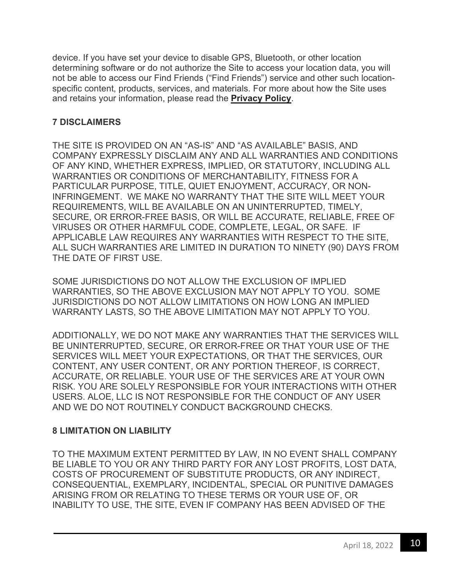device. If you have set your device to disable GPS, Bluetooth, or other location determining software or do not authorize the Site to access your location data, you will not be able to access our Find Friends ("Find Friends") service and other such locationspecific content, products, services, and materials. For more about how the Site uses and retains your information, please read the **Privacy Policy**.

# **7 DISCLAIMERS**

THE SITE IS PROVIDED ON AN "AS-IS" AND "AS AVAILABLE" BASIS, AND COMPANY EXPRESSLY DISCLAIM ANY AND ALL WARRANTIES AND CONDITIONS OF ANY KIND, WHETHER EXPRESS, IMPLIED, OR STATUTORY, INCLUDING ALL WARRANTIES OR CONDITIONS OF MERCHANTABILITY, FITNESS FOR A PARTICULAR PURPOSE, TITLE, QUIET ENJOYMENT, ACCURACY, OR NON-INFRINGEMENT. WE MAKE NO WARRANTY THAT THE SITE WILL MEET YOUR REQUIREMENTS, WILL BE AVAILABLE ON AN UNINTERRUPTED, TIMELY, SECURE, OR ERROR-FREE BASIS, OR WILL BE ACCURATE, RELIABLE, FREE OF VIRUSES OR OTHER HARMFUL CODE, COMPLETE, LEGAL, OR SAFE. IF APPLICABLE LAW REQUIRES ANY WARRANTIES WITH RESPECT TO THE SITE, ALL SUCH WARRANTIES ARE LIMITED IN DURATION TO NINETY (90) DAYS FROM THE DATE OF FIRST USE.

SOME JURISDICTIONS DO NOT ALLOW THE EXCLUSION OF IMPLIED WARRANTIES, SO THE ABOVE EXCLUSION MAY NOT APPLY TO YOU. SOME JURISDICTIONS DO NOT ALLOW LIMITATIONS ON HOW LONG AN IMPLIED WARRANTY LASTS, SO THE ABOVE LIMITATION MAY NOT APPLY TO YOU.

ADDITIONALLY, WE DO NOT MAKE ANY WARRANTIES THAT THE SERVICES WILL BE UNINTERRUPTED, SECURE, OR ERROR-FREE OR THAT YOUR USE OF THE SERVICES WILL MEET YOUR EXPECTATIONS, OR THAT THE SERVICES, OUR CONTENT, ANY USER CONTENT, OR ANY PORTION THEREOF, IS CORRECT, ACCURATE, OR RELIABLE. YOUR USE OF THE SERVICES ARE AT YOUR OWN RISK. YOU ARE SOLELY RESPONSIBLE FOR YOUR INTERACTIONS WITH OTHER USERS. ALOE, LLC IS NOT RESPONSIBLE FOR THE CONDUCT OF ANY USER AND WE DO NOT ROUTINELY CONDUCT BACKGROUND CHECKS.

# **8 LIMITATION ON LIABILITY**

TO THE MAXIMUM EXTENT PERMITTED BY LAW, IN NO EVENT SHALL COMPANY BE LIABLE TO YOU OR ANY THIRD PARTY FOR ANY LOST PROFITS, LOST DATA, COSTS OF PROCUREMENT OF SUBSTITUTE PRODUCTS, OR ANY INDIRECT, CONSEQUENTIAL, EXEMPLARY, INCIDENTAL, SPECIAL OR PUNITIVE DAMAGES ARISING FROM OR RELATING TO THESE TERMS OR YOUR USE OF, OR INABILITY TO USE, THE SITE, EVEN IF COMPANY HAS BEEN ADVISED OF THE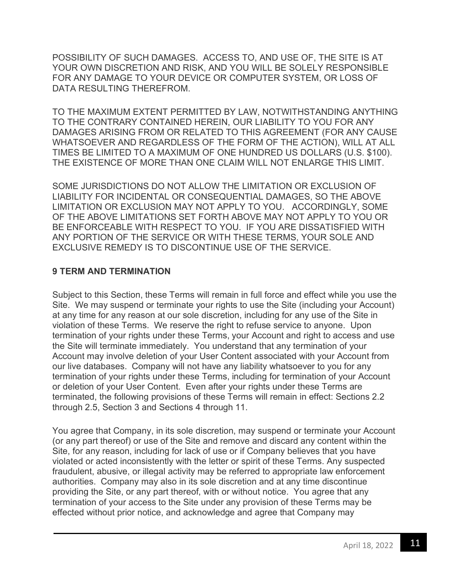POSSIBILITY OF SUCH DAMAGES. ACCESS TO, AND USE OF, THE SITE IS AT YOUR OWN DISCRETION AND RISK, AND YOU WILL BE SOLELY RESPONSIBLE FOR ANY DAMAGE TO YOUR DEVICE OR COMPUTER SYSTEM, OR LOSS OF DATA RESULTING THEREFROM.

TO THE MAXIMUM EXTENT PERMITTED BY LAW, NOTWITHSTANDING ANYTHING TO THE CONTRARY CONTAINED HEREIN, OUR LIABILITY TO YOU FOR ANY DAMAGES ARISING FROM OR RELATED TO THIS AGREEMENT (FOR ANY CAUSE WHATSOEVER AND REGARDLESS OF THE FORM OF THE ACTION), WILL AT ALL TIMES BE LIMITED TO A MAXIMUM OF ONE HUNDRED US DOLLARS (U.S. \$100). THE EXISTENCE OF MORE THAN ONE CLAIM WILL NOT ENLARGE THIS LIMIT.

SOME JURISDICTIONS DO NOT ALLOW THE LIMITATION OR EXCLUSION OF LIABILITY FOR INCIDENTAL OR CONSEQUENTIAL DAMAGES, SO THE ABOVE LIMITATION OR EXCLUSION MAY NOT APPLY TO YOU. ACCORDINGLY, SOME OF THE ABOVE LIMITATIONS SET FORTH ABOVE MAY NOT APPLY TO YOU OR BE ENFORCEABLE WITH RESPECT TO YOU. IF YOU ARE DISSATISFIED WITH ANY PORTION OF THE SERVICE OR WITH THESE TERMS, YOUR SOLE AND EXCLUSIVE REMEDY IS TO DISCONTINUE USE OF THE SERVICE.

#### **9 TERM AND TERMINATION**

Subject to this Section, these Terms will remain in full force and effect while you use the Site. We may suspend or terminate your rights to use the Site (including your Account) at any time for any reason at our sole discretion, including for any use of the Site in violation of these Terms. We reserve the right to refuse service to anyone. Upon termination of your rights under these Terms, your Account and right to access and use the Site will terminate immediately. You understand that any termination of your Account may involve deletion of your User Content associated with your Account from our live databases. Company will not have any liability whatsoever to you for any termination of your rights under these Terms, including for termination of your Account or deletion of your User Content. Even after your rights under these Terms are terminated, the following provisions of these Terms will remain in effect: Sections 2.2 through 2.5, Section 3 and Sections 4 through 11.

You agree that Company, in its sole discretion, may suspend or terminate your Account (or any part thereof) or use of the Site and remove and discard any content within the Site, for any reason, including for lack of use or if Company believes that you have violated or acted inconsistently with the letter or spirit of these Terms. Any suspected fraudulent, abusive, or illegal activity may be referred to appropriate law enforcement authorities. Company may also in its sole discretion and at any time discontinue providing the Site, or any part thereof, with or without notice. You agree that any termination of your access to the Site under any provision of these Terms may be effected without prior notice, and acknowledge and agree that Company may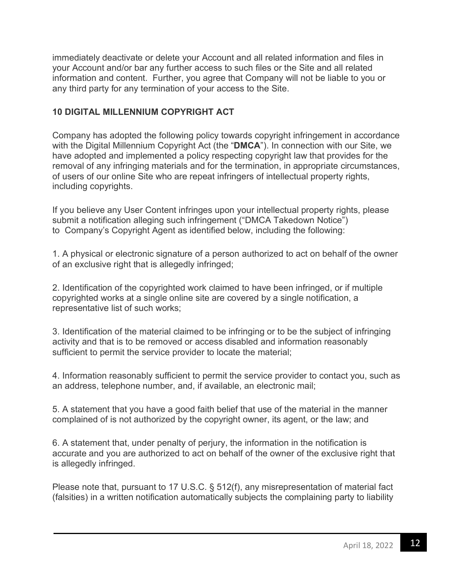immediately deactivate or delete your Account and all related information and files in your Account and/or bar any further access to such files or the Site and all related information and content. Further, you agree that Company will not be liable to you or any third party for any termination of your access to the Site.

# **10 DIGITAL MILLENNIUM COPYRIGHT ACT**

Company has adopted the following policy towards copyright infringement in accordance with the Digital Millennium Copyright Act (the "**DMCA**"). In connection with our Site, we have adopted and implemented a policy respecting copyright law that provides for the removal of any infringing materials and for the termination, in appropriate circumstances, of users of our online Site who are repeat infringers of intellectual property rights, including copyrights.

If you believe any User Content infringes upon your intellectual property rights, please submit a notification alleging such infringement ("DMCA Takedown Notice") to Company's Copyright Agent as identified below, including the following:

1. A physical or electronic signature of a person authorized to act on behalf of the owner of an exclusive right that is allegedly infringed;

2. Identification of the copyrighted work claimed to have been infringed, or if multiple copyrighted works at a single online site are covered by a single notification, a representative list of such works;

3. Identification of the material claimed to be infringing or to be the subject of infringing activity and that is to be removed or access disabled and information reasonably sufficient to permit the service provider to locate the material;

4. Information reasonably sufficient to permit the service provider to contact you, such as an address, telephone number, and, if available, an electronic mail;

5. A statement that you have a good faith belief that use of the material in the manner complained of is not authorized by the copyright owner, its agent, or the law; and

6. A statement that, under penalty of perjury, the information in the notification is accurate and you are authorized to act on behalf of the owner of the exclusive right that is allegedly infringed.

Please note that, pursuant to 17 U.S.C. § 512(f), any misrepresentation of material fact (falsities) in a written notification automatically subjects the complaining party to liability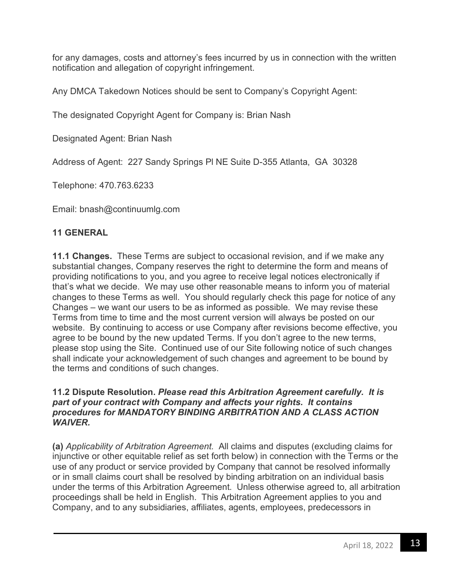for any damages, costs and attorney's fees incurred by us in connection with the written notification and allegation of copyright infringement.

Any DMCA Takedown Notices should be sent to Company's Copyright Agent:

The designated Copyright Agent for Company is: Brian Nash

Designated Agent: Brian Nash

Address of Agent: 227 Sandy Springs Pl NE Suite D-355 Atlanta, GA 30328

Telephone: 470.763.6233

Email: bnash@continuumlg.com

## **11 GENERAL**

**11.1 Changes.** These Terms are subject to occasional revision, and if we make any substantial changes, Company reserves the right to determine the form and means of providing notifications to you, and you agree to receive legal notices electronically if that's what we decide. We may use other reasonable means to inform you of material changes to these Terms as well. You should regularly check this page for notice of any Changes – we want our users to be as informed as possible. We may revise these Terms from time to time and the most current version will always be posted on our website. By continuing to access or use Company after revisions become effective, you agree to be bound by the new updated Terms. If you don't agree to the new terms, please stop using the Site. Continued use of our Site following notice of such changes shall indicate your acknowledgement of such changes and agreement to be bound by the terms and conditions of such changes.

#### **11.2 Dispute Resolution.** *Please read this Arbitration Agreement carefully. It is part of your contract with Company and affects your rights. It contains procedures for MANDATORY BINDING ARBITRATION AND A CLASS ACTION WAIVER.*

**(a)** *Applicability of Arbitration Agreement.* All claims and disputes (excluding claims for injunctive or other equitable relief as set forth below) in connection with the Terms or the use of any product or service provided by Company that cannot be resolved informally or in small claims court shall be resolved by binding arbitration on an individual basis under the terms of this Arbitration Agreement. Unless otherwise agreed to, all arbitration proceedings shall be held in English. This Arbitration Agreement applies to you and Company, and to any subsidiaries, affiliates, agents, employees, predecessors in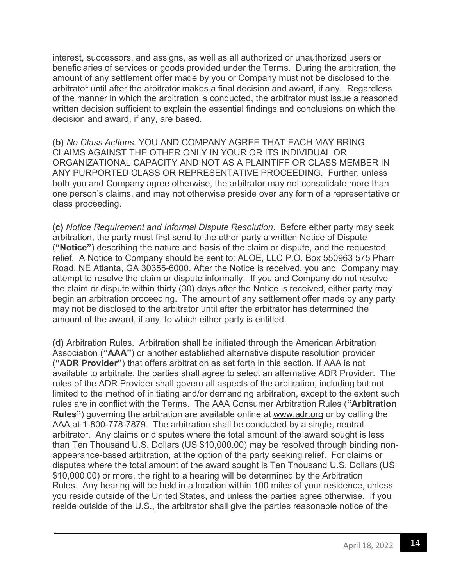interest, successors, and assigns, as well as all authorized or unauthorized users or beneficiaries of services or goods provided under the Terms. During the arbitration, the amount of any settlement offer made by you or Company must not be disclosed to the arbitrator until after the arbitrator makes a final decision and award, if any. Regardless of the manner in which the arbitration is conducted, the arbitrator must issue a reasoned written decision sufficient to explain the essential findings and conclusions on which the decision and award, if any, are based.

**(b)** *No Class Actions.* YOU AND COMPANY AGREE THAT EACH MAY BRING CLAIMS AGAINST THE OTHER ONLY IN YOUR OR ITS INDIVIDUAL OR ORGANIZATIONAL CAPACITY AND NOT AS A PLAINTIFF OR CLASS MEMBER IN ANY PURPORTED CLASS OR REPRESENTATIVE PROCEEDING. Further, unless both you and Company agree otherwise, the arbitrator may not consolidate more than one person's claims, and may not otherwise preside over any form of a representative or class proceeding.

**(c)** *Notice Requirement and Informal Dispute Resolution*. Before either party may seek arbitration, the party must first send to the other party a written Notice of Dispute (**"Notice"**) describing the nature and basis of the claim or dispute, and the requested relief. A Notice to Company should be sent to: ALOE, LLC P.O. Box 550963 575 Pharr Road, NE Atlanta, GA 30355-6000. After the Notice is received, you and Company may attempt to resolve the claim or dispute informally. If you and Company do not resolve the claim or dispute within thirty (30) days after the Notice is received, either party may begin an arbitration proceeding. The amount of any settlement offer made by any party may not be disclosed to the arbitrator until after the arbitrator has determined the amount of the award, if any, to which either party is entitled.

**(d)** Arbitration Rules. Arbitration shall be initiated through the American Arbitration Association (**"AAA"**) or another established alternative dispute resolution provider (**"ADR Provider"**) that offers arbitration as set forth in this section. If AAA is not available to arbitrate, the parties shall agree to select an alternative ADR Provider. The rules of the ADR Provider shall govern all aspects of the arbitration, including but not limited to the method of initiating and/or demanding arbitration, except to the extent such rules are in conflict with the Terms. The AAA Consumer Arbitration Rules (**"Arbitration Rules"**) governing the arbitration are available online at www.adr.org or by calling the AAA at 1-800-778-7879. The arbitration shall be conducted by a single, neutral arbitrator. Any claims or disputes where the total amount of the award sought is less than Ten Thousand U.S. Dollars (US \$10,000.00) may be resolved through binding nonappearance-based arbitration, at the option of the party seeking relief. For claims or disputes where the total amount of the award sought is Ten Thousand U.S. Dollars (US \$10,000.00) or more, the right to a hearing will be determined by the Arbitration Rules. Any hearing will be held in a location within 100 miles of your residence, unless you reside outside of the United States, and unless the parties agree otherwise. If you reside outside of the U.S., the arbitrator shall give the parties reasonable notice of the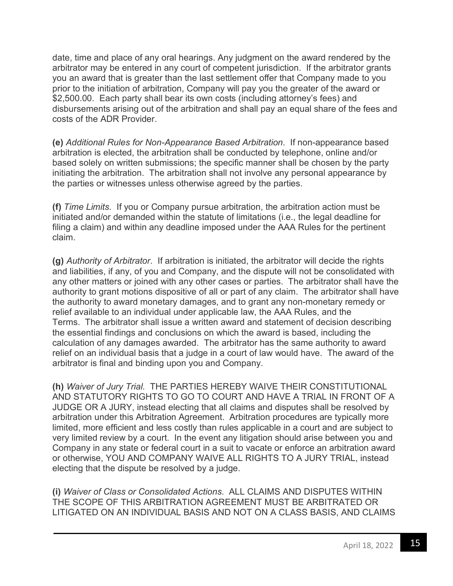date, time and place of any oral hearings. Any judgment on the award rendered by the arbitrator may be entered in any court of competent jurisdiction. If the arbitrator grants you an award that is greater than the last settlement offer that Company made to you prior to the initiation of arbitration, Company will pay you the greater of the award or \$2,500.00. Each party shall bear its own costs (including attorney's fees) and disbursements arising out of the arbitration and shall pay an equal share of the fees and costs of the ADR Provider.

**(e)** *Additional Rules for Non-Appearance Based Arbitration*. If non-appearance based arbitration is elected, the arbitration shall be conducted by telephone, online and/or based solely on written submissions; the specific manner shall be chosen by the party initiating the arbitration. The arbitration shall not involve any personal appearance by the parties or witnesses unless otherwise agreed by the parties.

**(f)** *Time Limits.* If you or Company pursue arbitration, the arbitration action must be initiated and/or demanded within the statute of limitations (i.e., the legal deadline for filing a claim) and within any deadline imposed under the AAA Rules for the pertinent claim.

**(g)** *Authority of Arbitrator*. If arbitration is initiated, the arbitrator will decide the rights and liabilities, if any, of you and Company, and the dispute will not be consolidated with any other matters or joined with any other cases or parties. The arbitrator shall have the authority to grant motions dispositive of all or part of any claim. The arbitrator shall have the authority to award monetary damages, and to grant any non-monetary remedy or relief available to an individual under applicable law, the AAA Rules, and the Terms. The arbitrator shall issue a written award and statement of decision describing the essential findings and conclusions on which the award is based, including the calculation of any damages awarded. The arbitrator has the same authority to award relief on an individual basis that a judge in a court of law would have. The award of the arbitrator is final and binding upon you and Company.

**(h)** *Waiver of Jury Trial.* THE PARTIES HEREBY WAIVE THEIR CONSTITUTIONAL AND STATUTORY RIGHTS TO GO TO COURT AND HAVE A TRIAL IN FRONT OF A JUDGE OR A JURY, instead electing that all claims and disputes shall be resolved by arbitration under this Arbitration Agreement. Arbitration procedures are typically more limited, more efficient and less costly than rules applicable in a court and are subject to very limited review by a court. In the event any litigation should arise between you and Company in any state or federal court in a suit to vacate or enforce an arbitration award or otherwise, YOU AND COMPANY WAIVE ALL RIGHTS TO A JURY TRIAL, instead electing that the dispute be resolved by a judge.

**(i)** *Waiver of Class or Consolidated Actions*. ALL CLAIMS AND DISPUTES WITHIN THE SCOPE OF THIS ARBITRATION AGREEMENT MUST BE ARBITRATED OR LITIGATED ON AN INDIVIDUAL BASIS AND NOT ON A CLASS BASIS, AND CLAIMS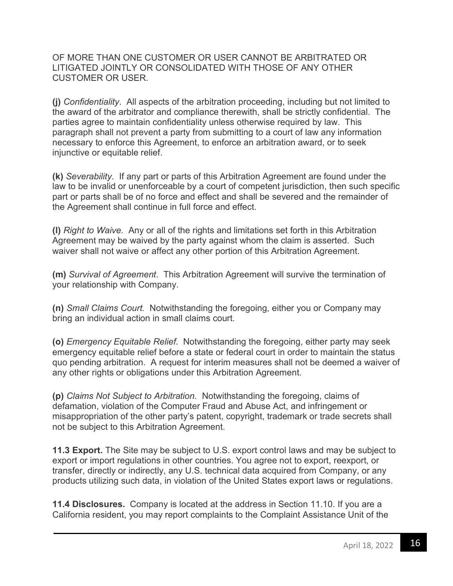OF MORE THAN ONE CUSTOMER OR USER CANNOT BE ARBITRATED OR LITIGATED JOINTLY OR CONSOLIDATED WITH THOSE OF ANY OTHER CUSTOMER OR USER.

**(j)** *Confidentiality*. All aspects of the arbitration proceeding, including but not limited to the award of the arbitrator and compliance therewith, shall be strictly confidential. The parties agree to maintain confidentiality unless otherwise required by law. This paragraph shall not prevent a party from submitting to a court of law any information necessary to enforce this Agreement, to enforce an arbitration award, or to seek injunctive or equitable relief.

**(k)** *Severability*. If any part or parts of this Arbitration Agreement are found under the law to be invalid or unenforceable by a court of competent jurisdiction, then such specific part or parts shall be of no force and effect and shall be severed and the remainder of the Agreement shall continue in full force and effect.

**(l)** *Right to Waive.* Any or all of the rights and limitations set forth in this Arbitration Agreement may be waived by the party against whom the claim is asserted. Such waiver shall not waive or affect any other portion of this Arbitration Agreement.

**(m)** *Survival of Agreement*. This Arbitration Agreement will survive the termination of your relationship with Company.

**(n)** *Small Claims Court.* Notwithstanding the foregoing, either you or Company may bring an individual action in small claims court.

**(o)** *Emergency Equitable Relief*. Notwithstanding the foregoing, either party may seek emergency equitable relief before a state or federal court in order to maintain the status quo pending arbitration. A request for interim measures shall not be deemed a waiver of any other rights or obligations under this Arbitration Agreement.

**(p)** *Claims Not Subject to Arbitration.* Notwithstanding the foregoing, claims of defamation, violation of the Computer Fraud and Abuse Act, and infringement or misappropriation of the other party's patent, copyright, trademark or trade secrets shall not be subject to this Arbitration Agreement.

**11.3 Export.** The Site may be subject to U.S. export control laws and may be subject to export or import regulations in other countries. You agree not to export, reexport, or transfer, directly or indirectly, any U.S. technical data acquired from Company, or any products utilizing such data, in violation of the United States export laws or regulations.

**11.4 Disclosures.** Company is located at the address in Section 11.10. If you are a California resident, you may report complaints to the Complaint Assistance Unit of the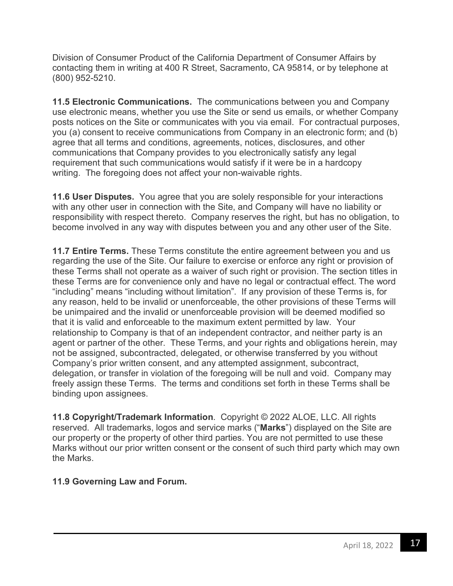Division of Consumer Product of the California Department of Consumer Affairs by contacting them in writing at 400 R Street, Sacramento, CA 95814, or by telephone at (800) 952-5210.

**11.5 Electronic Communications.** The communications between you and Company use electronic means, whether you use the Site or send us emails, or whether Company posts notices on the Site or communicates with you via email. For contractual purposes, you (a) consent to receive communications from Company in an electronic form; and (b) agree that all terms and conditions, agreements, notices, disclosures, and other communications that Company provides to you electronically satisfy any legal requirement that such communications would satisfy if it were be in a hardcopy writing. The foregoing does not affect your non-waivable rights.

**11.6 User Disputes.** You agree that you are solely responsible for your interactions with any other user in connection with the Site, and Company will have no liability or responsibility with respect thereto. Company reserves the right, but has no obligation, to become involved in any way with disputes between you and any other user of the Site.

**11.7 Entire Terms.** These Terms constitute the entire agreement between you and us regarding the use of the Site. Our failure to exercise or enforce any right or provision of these Terms shall not operate as a waiver of such right or provision. The section titles in these Terms are for convenience only and have no legal or contractual effect. The word "including" means "including without limitation". If any provision of these Terms is, for any reason, held to be invalid or unenforceable, the other provisions of these Terms will be unimpaired and the invalid or unenforceable provision will be deemed modified so that it is valid and enforceable to the maximum extent permitted by law. Your relationship to Company is that of an independent contractor, and neither party is an agent or partner of the other. These Terms, and your rights and obligations herein, may not be assigned, subcontracted, delegated, or otherwise transferred by you without Company's prior written consent, and any attempted assignment, subcontract, delegation, or transfer in violation of the foregoing will be null and void. Company may freely assign these Terms. The terms and conditions set forth in these Terms shall be binding upon assignees.

**11.8 Copyright/Trademark Information**. Copyright © 2022 ALOE, LLC. All rights reserved. All trademarks, logos and service marks ("**Marks**") displayed on the Site are our property or the property of other third parties. You are not permitted to use these Marks without our prior written consent or the consent of such third party which may own the Marks.

#### **11.9 Governing Law and Forum.**